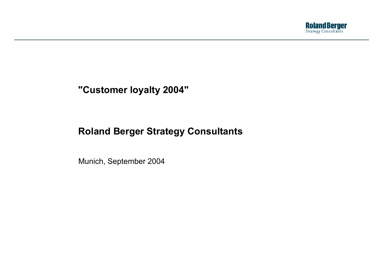

#### **"Customer loyalty 2004"**

# **Roland Berger Strategy Consultants**

Munich, September 2004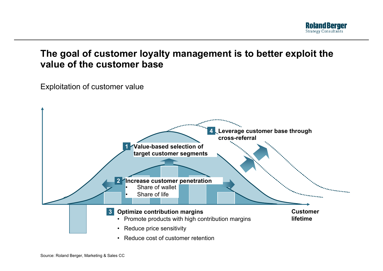

## **The goal of customer loyalty management is to better exploit the value of the customer base**

Exploitation of customer value

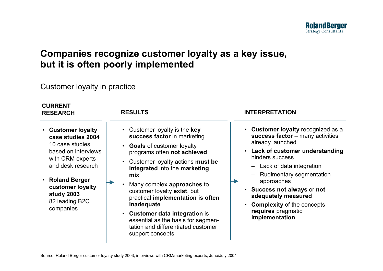

## **Companies recognize customer loyalty as <sup>a</sup> key issue, but it is often poorly implemented**

#### Customer loyalty in practice

| <b>CURRENT</b><br><b>RESEARCH</b>                                                                                                                                                                                   | <b>RESULTS</b>                                                                                                                                                                                                                                                                                                                                                                                                                                                          | <b>INTERPRETATION</b>                                                                                                                                                                                                                                                                                                                                               |
|---------------------------------------------------------------------------------------------------------------------------------------------------------------------------------------------------------------------|-------------------------------------------------------------------------------------------------------------------------------------------------------------------------------------------------------------------------------------------------------------------------------------------------------------------------------------------------------------------------------------------------------------------------------------------------------------------------|---------------------------------------------------------------------------------------------------------------------------------------------------------------------------------------------------------------------------------------------------------------------------------------------------------------------------------------------------------------------|
| <b>Customer loyalty</b><br>case studies 2004<br>10 case studies<br>based on interviews<br>with CRM experts<br>and desk research<br>• Roland Berger<br>customer loyalty<br>study 2003<br>82 leading B2C<br>companies | • Customer loyalty is the key<br>success factor in marketing<br>• Goals of customer loyalty<br>programs often not achieved<br>• Customer loyalty actions must be<br>integrated into the marketing<br>mix<br>Many complex approaches to<br>$\bullet$<br>customer loyalty exist, but<br>practical implementation is often<br>inadequate<br>• Customer data integration is<br>essential as the basis for segmen-<br>tation and differentiated customer<br>support concepts | • Customer loyalty recognized as a<br>success factor - many activities<br>already launched<br>• Lack of customer understanding<br>hinders success<br>$-$ Lack of data integration<br><b>Rudimentary segmentation</b><br>approaches<br>Success not always or not<br>adequately measured<br><b>Complexity of the concepts</b><br>requires pragmatic<br>implementation |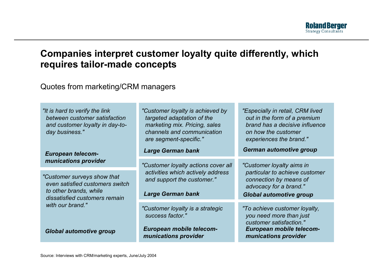

## **Companies interpret customer loyalty quite differently, which requires tailor-made concepts**

Quotes from marketing/CRM managers

| "It is hard to verify the link<br>between customer satisfaction<br>and customer loyalty in day-to-<br>day business."      | "Customer loyalty is achieved by<br>targeted adaptation of the<br>marketing mix. Pricing, sales<br>channels and communication<br>are segment-specific." | "Especially in retail, CRM lived<br>out in the form of a premium<br>brand has a decisive influence<br>on how the customer<br>experiences the brand." |
|---------------------------------------------------------------------------------------------------------------------------|---------------------------------------------------------------------------------------------------------------------------------------------------------|------------------------------------------------------------------------------------------------------------------------------------------------------|
| <b>European telecom-</b>                                                                                                  | <b>Large German bank</b>                                                                                                                                | <b>German automotive group</b>                                                                                                                       |
| munications provider                                                                                                      | "Customer loyalty actions cover all                                                                                                                     | "Customer loyalty aims in                                                                                                                            |
| "Customer surveys show that<br>even satisfied customers switch<br>to other brands, while<br>dissatisfied customers remain | activities which actively address<br>and support the customer."<br><b>Large German bank</b>                                                             | particular to achieve customer<br>connection by means of<br>advocacy for a brand."<br><b>Global automotive group</b>                                 |
| with our brand."<br><b>Global automotive group</b>                                                                        | "Customer loyalty is a strategic<br>success factor."<br>European mobile telecom-                                                                        | "To achieve customer loyalty,<br>you need more than just<br>customer satisfaction."<br>European mobile telecom-                                      |
|                                                                                                                           | munications provider                                                                                                                                    | munications provider                                                                                                                                 |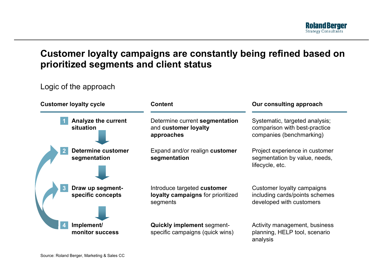

### **Customer loyalty campaigns are constantly being refined based on prioritized segments and client status**

#### Logic of the approach

| <b>Customer loyalty cycle</b> |                                           | <b>Content</b>                                                               | Our consulting approach                                                                     |  |
|-------------------------------|-------------------------------------------|------------------------------------------------------------------------------|---------------------------------------------------------------------------------------------|--|
|                               | <b>Analyze the current</b><br>situation   | Determine current segmentation<br>and customer loyalty<br>approaches         | Systematic, targeted analysis;<br>comparison with best-practice<br>companies (benchmarking) |  |
|                               | <b>Determine customer</b><br>segmentation | Expand and/or realign customer<br>segmentation                               | Project experience in customer<br>segmentation by value, needs,<br>lifecycle, etc.          |  |
|                               | Draw up segment-<br>specific concepts     | Introduce targeted customer<br>loyalty campaigns for prioritized<br>segments | Customer loyalty campaigns<br>including cards/points schemes<br>developed with customers    |  |
|                               | Implement/<br>monitor success             | <b>Quickly implement segment-</b><br>specific campaigns (quick wins)         | Activity management, business<br>planning, HELP tool, scenario<br>analysis                  |  |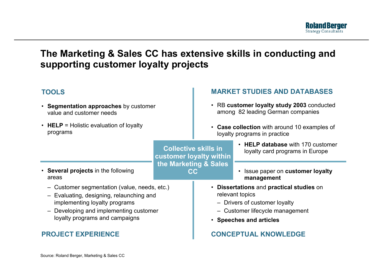

### **The Marketing & Sales CC has extensive skills in conducting and supporting customer loyalty projects**

| <b>TOOLS</b>                                                           |                                                                                              | <b>MARKET STUDIES AND DATABASES</b>                                             |                                                                      |
|------------------------------------------------------------------------|----------------------------------------------------------------------------------------------|---------------------------------------------------------------------------------|----------------------------------------------------------------------|
| • Segmentation approaches by customer<br>value and customer needs      |                                                                                              | • RB customer loyalty study 2003 conducted<br>among 82 leading German companies |                                                                      |
| • HELP = Holistic evaluation of loyalty<br>programs                    |                                                                                              | • Case collection with around 10 examples of<br>loyalty programs in practice    |                                                                      |
|                                                                        | <b>Collective skills in</b><br>customer loyalty within<br>the Marketing & Sales<br><b>CC</b> |                                                                                 | • HELP database with 170 customer<br>loyalty card programs in Europe |
| • Several projects in the following                                    |                                                                                              |                                                                                 | Issue paper on customer loyalty<br>$\bullet$                         |
| areas                                                                  |                                                                                              |                                                                                 | management                                                           |
| Customer segmentation (value, needs, etc.)                             |                                                                                              | • Dissertations and practical studies on                                        |                                                                      |
| Evaluating, designing, relaunching and                                 |                                                                                              | relevant topics                                                                 |                                                                      |
| implementing loyalty programs                                          |                                                                                              | - Drivers of customer loyalty                                                   |                                                                      |
| Developing and implementing customer<br>loyalty programs and campaigns |                                                                                              | - Customer lifecycle management                                                 |                                                                      |
|                                                                        |                                                                                              | • Speeches and articles                                                         |                                                                      |
| <b>PROJECT EXPERIENCE</b>                                              |                                                                                              |                                                                                 | <b>CONCEPTUAL KNOWLEDGE</b>                                          |